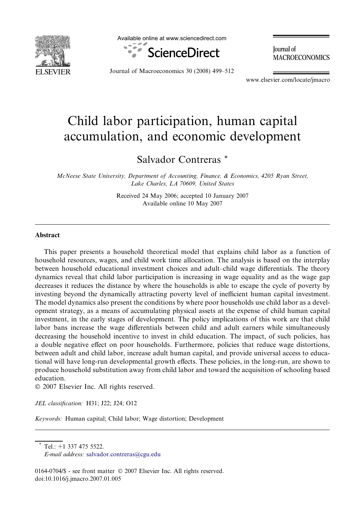

Available online at www.sciencedirect.com



**Iournal** of **MACROECONOMICS** 

Journal of Macroeconomics 30 (2008) 499–512

www.elsevier.com/locate/jmacro

## Child labor participation, human capital accumulation, and economic development

Salvador Contreras \*

McNeese State University, Department of Accounting, Finance, & Economics, 4205 Ryan Street, Lake Charles, LA 70609, United States

> Received 24 May 2006; accepted 10 January 2007 Available online 10 May 2007

## Abstract

This paper presents a household theoretical model that explains child labor as a function of household resources, wages, and child work time allocation. The analysis is based on the interplay between household educational investment choices and adult–child wage differentials. The theory dynamics reveal that child labor participation is increasing in wage equality and as the wage gap decreases it reduces the distance by where the households is able to escape the cycle of poverty by investing beyond the dynamically attracting poverty level of inefficient human capital investment. The model dynamics also present the conditions by where poor households use child labor as a development strategy, as a means of accumulating physical assets at the expense of child human capital investment, in the early stages of development. The policy implications of this work are that child labor bans increase the wage differentials between child and adult earners while simultaneously decreasing the household incentive to invest in child education. The impact, of such policies, has a double negative effect on poor households. Furthermore, policies that reduce wage distortions, between adult and child labor, increase adult human capital, and provide universal access to educational will have long-run developmental growth effects. These policies, in the long-run, are shown to produce household substitution away from child labor and toward the acquisition of schooling based education.

 $© 2007 Elsevier Inc. All rights reserved.$ 

JEL classification: H31; J22; J24; O12

Keywords: Human capital; Child labor; Wage distortion; Development

Tel.: +1 337 475 5522.

0164-0704/\$ - see front matter © 2007 Elsevier Inc. All rights reserved. doi:10.1016/j.jmacro.2007.01.005

E-mail address: [salvador.contreras@cgu.edu](mailto:salvador.contreras@cgu.edu)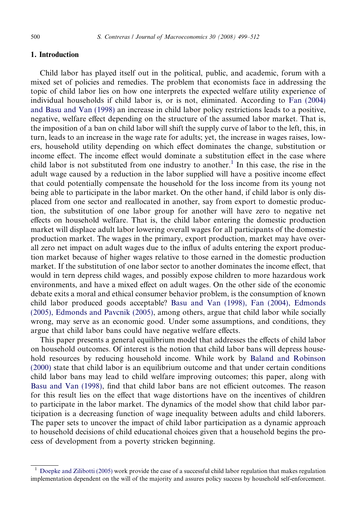## 1. Introduction

Child labor has played itself out in the political, public, and academic, forum with a mixed set of policies and remedies. The problem that economists face in addressing the topic of child labor lies on how one interprets the expected welfare utility experience of individual households if child labor is, or is not, eliminated. According to [Fan \(2004\)](#page--1-0) [and Basu and Van \(1998\)](#page--1-0) an increase in child labor policy restrictions leads to a positive, negative, welfare effect depending on the structure of the assumed labor market. That is, the imposition of a ban on child labor will shift the supply curve of labor to the left, this, in turn, leads to an increase in the wage rate for adults; yet, the increase in wages raises, lowers, household utility depending on which effect dominates the change, substitution or income effect. The income effect would dominate a substitution effect in the case where child labor is not substituted from one industry to another.<sup>1</sup> In this case, the rise in the adult wage caused by a reduction in the labor supplied will have a positive income effect that could potentially compensate the household for the loss income from its young not being able to participate in the labor market. On the other hand, if child labor is only displaced from one sector and reallocated in another, say from export to domestic production, the substitution of one labor group for another will have zero to negative net effects on household welfare. That is, the child labor entering the domestic production market will displace adult labor lowering overall wages for all participants of the domestic production market. The wages in the primary, export production, market may have overall zero net impact on adult wages due to the influx of adults entering the export production market because of higher wages relative to those earned in the domestic production market. If the substitution of one labor sector to another dominates the income effect, that would in tern depress child wages, and possibly expose children to more hazardous work environments, and have a mixed effect on adult wages. On the other side of the economic debate exits a moral and ethical consumer behavior problem, is the consumption of known child labor produced goods acceptable? [Basu and Van \(1998\), Fan \(2004\), Edmonds](#page--1-0) [\(2005\), Edmonds and Pavcnik \(2005\),](#page--1-0) among others, argue that child labor while socially wrong, may serve as an economic good. Under some assumptions, and conditions, they argue that child labor bans could have negative welfare effects.

This paper presents a general equilibrium model that addresses the effects of child labor on household outcomes. Of interest is the notion that child labor bans will depress household resources by reducing household income. While work by [Baland and Robinson](#page--1-0) [\(2000\)](#page--1-0) state that child labor is an equilibrium outcome and that under certain conditions child labor bans may lead to child welfare improving outcomes; this paper, along with [Basu and Van \(1998\)](#page--1-0), find that child labor bans are not efficient outcomes. The reason for this result lies on the effect that wage distortions have on the incentives of children to participate in the labor market. The dynamics of the model show that child labor participation is a decreasing function of wage inequality between adults and child laborers. The paper sets to uncover the impact of child labor participation as a dynamic approach to household decisions of child educational choices given that a household begins the process of development from a poverty stricken beginning.

<sup>&</sup>lt;sup>1</sup> [Doepke and Zilibotti \(2005\)](#page--1-0) work provide the case of a successful child labor regulation that makes regulation implementation dependent on the will of the majority and assures policy success by household self-enforcement.